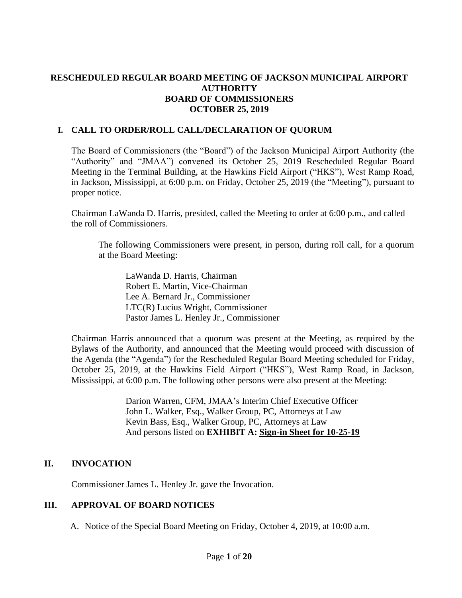## **RESCHEDULED REGULAR BOARD MEETING OF JACKSON MUNICIPAL AIRPORT AUTHORITY BOARD OF COMMISSIONERS OCTOBER 25, 2019**

### **I. CALL TO ORDER/ROLL CALL/DECLARATION OF QUORUM**

The Board of Commissioners (the "Board") of the Jackson Municipal Airport Authority (the "Authority" and "JMAA") convened its October 25, 2019 Rescheduled Regular Board Meeting in the Terminal Building, at the Hawkins Field Airport ("HKS"), West Ramp Road, in Jackson, Mississippi, at 6:00 p.m. on Friday, October 25, 2019 (the "Meeting"), pursuant to proper notice.

Chairman LaWanda D. Harris, presided, called the Meeting to order at 6:00 p.m., and called the roll of Commissioners.

The following Commissioners were present, in person, during roll call, for a quorum at the Board Meeting:

LaWanda D. Harris, Chairman Robert E. Martin, Vice-Chairman Lee A. Bernard Jr., Commissioner LTC(R) Lucius Wright, Commissioner Pastor James L. Henley Jr., Commissioner

Chairman Harris announced that a quorum was present at the Meeting, as required by the Bylaws of the Authority, and announced that the Meeting would proceed with discussion of the Agenda (the "Agenda") for the Rescheduled Regular Board Meeting scheduled for Friday, October 25, 2019, at the Hawkins Field Airport ("HKS"), West Ramp Road, in Jackson, Mississippi, at 6:00 p.m. The following other persons were also present at the Meeting:

> Darion Warren, CFM, JMAA's Interim Chief Executive Officer John L. Walker, Esq., Walker Group, PC, Attorneys at Law Kevin Bass, Esq., Walker Group, PC, Attorneys at Law And persons listed on **EXHIBIT A: Sign[-in](file:///C:/Users/kevin/AppData/Local/Microsoft/Windows/Temporary%20Internet%20Files/2019-01-28%20Board%20Meeting/2017-07-27%20Board%20Meeting/2016-09-22%20Board%20Meeting/Rescheduled%20Regular%20Board%20Meeting%20Sign%20in%20Sheet%20August%2029%202016.pdf) [Sheet](file:///C:/Users/kevin/AppData/Local/Microsoft/Windows/Temporary%20Internet%20Files/2019-01-28%20Board%20Meeting/2017-07-27%20Board%20Meeting/Drafts/2017-MAR%2027-bmr.pdf) for 10-25-19**

# **II. INVOCATION**

Commissioner James L. Henley Jr. gave the Invocation.

### **III. APPROVAL OF BOARD NOTICES**

A. Notice of the Special Board Meeting on Friday, October 4, 2019, at 10:00 a.m.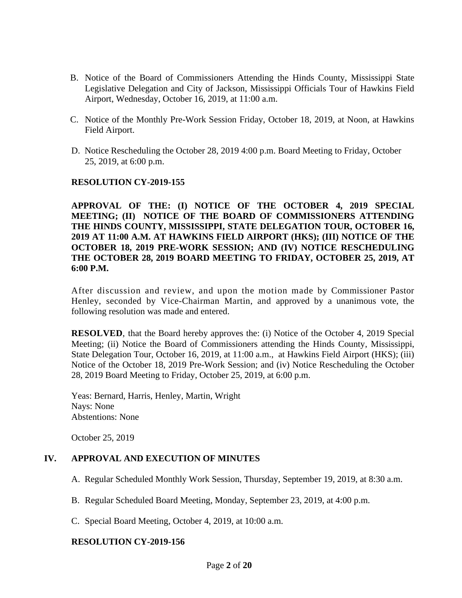- B. Notice of the Board of Commissioners Attending the Hinds County, Mississippi State Legislative Delegation and City of Jackson, Mississippi Officials Tour of Hawkins Field Airport, Wednesday, October 16, 2019, at 11:00 a.m.
- C. Notice of the Monthly Pre-Work Session Friday, October 18, 2019, at Noon, at Hawkins Field Airport.
- D. Notice Rescheduling the October 28, 2019 4:00 p.m. Board Meeting to Friday, October 25, 2019, at 6:00 p.m.

#### **RESOLUTION CY-2019-155**

**APPROVAL OF THE: (I) NOTICE OF THE OCTOBER 4, 2019 SPECIAL MEETING; (II) NOTICE OF THE BOARD OF COMMISSIONERS ATTENDING THE HINDS COUNTY, MISSISSIPPI, STATE DELEGATION TOUR, OCTOBER 16, 2019 AT 11:00 A.M. AT HAWKINS FIELD AIRPORT (HKS); (III) NOTICE OF THE OCTOBER 18, 2019 PRE-WORK SESSION; AND (IV) NOTICE RESCHEDULING THE OCTOBER 28, 2019 BOARD MEETING TO FRIDAY, OCTOBER 25, 2019, AT 6:00 P.M.**

After discussion and review, and upon the motion made by Commissioner Pastor Henley, seconded by Vice-Chairman Martin, and approved by a unanimous vote, the following resolution was made and entered.

**RESOLVED**, that the Board hereby approves the: (i) Notice of the October 4, 2019 Special Meeting; (ii) Notice the Board of Commissioners attending the Hinds County, Mississippi, State Delegation Tour, October 16, 2019, at 11:00 a.m., at Hawkins Field Airport (HKS); (iii) Notice of the October 18, 2019 Pre-Work Session; and (iv) Notice Rescheduling the October 28, 2019 Board Meeting to Friday, October 25, 2019, at 6:00 p.m.

Yeas: Bernard, Harris, Henley, Martin, Wright Nays: None Abstentions: None

October 25, 2019

## **IV. APPROVAL AND EXECUTION OF MINUTES**

- A. Regular Scheduled Monthly Work Session, Thursday, September 19, 2019, at 8:30 a.m.
- B. Regular Scheduled Board Meeting, Monday, September 23, 2019, at 4:00 p.m.
- C. Special Board Meeting, October 4, 2019, at 10:00 a.m.

#### **RESOLUTION CY-2019-156**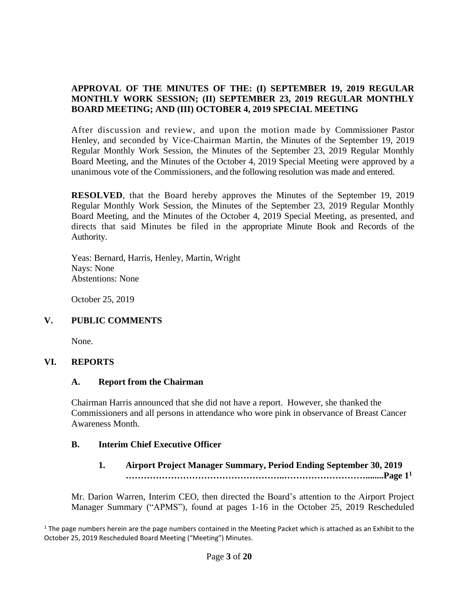### **APPROVAL OF THE MINUTES OF THE: (I) SEPTEMBER 19, 2019 REGULAR MONTHLY WORK SESSION; (II) SEPTEMBER 23, 2019 REGULAR MONTHLY BOARD MEETING; AND (III) OCTOBER 4, 2019 SPECIAL MEETING**

After discussion and review, and upon the motion made by Commissioner Pastor Henley, and seconded by Vice-Chairman Martin, the Minutes of the September 19, 2019 Regular Monthly Work Session, the Minutes of the September 23, 2019 Regular Monthly Board Meeting, and the Minutes of the October 4, 2019 Special Meeting were approved by a unanimous vote of the Commissioners, and the following resolution was made and entered.

**RESOLVED**, that the Board hereby approves the Minutes of the September 19, 2019 Regular Monthly Work Session, the Minutes of the September 23, 2019 Regular Monthly Board Meeting, and the Minutes of the October 4, 2019 Special Meeting, as presented, and directs that said Minutes be filed in the appropriate Minute Book and Records of the Authority.

Yeas: Bernard, Harris, Henley, Martin, Wright Nays: None Abstentions: None

October 25, 2019

# **V. PUBLIC COMMENTS**

None.

### **VI. REPORTS**

### **A. Report from the Chairman**

Chairman Harris announced that she did not have a report. However, she thanked the Commissioners and all persons in attendance who wore pink in observance of Breast Cancer Awareness Month.

### **B. Interim Chief Executive Officer**

**1. Airport Project Manager Summary, Period Ending September 30, 2019 ……………………………………………..………………………........Page 1 1**

Mr. Darion Warren, Interim CEO, then directed the Board's attention to the Airport Project Manager Summary ("APMS"), found at pages 1-16 in the October 25, 2019 Rescheduled

 $1$  The page numbers herein are the page numbers contained in the Meeting Packet which is attached as an Exhibit to the October 25, 2019 Rescheduled Board Meeting ("Meeting") Minutes.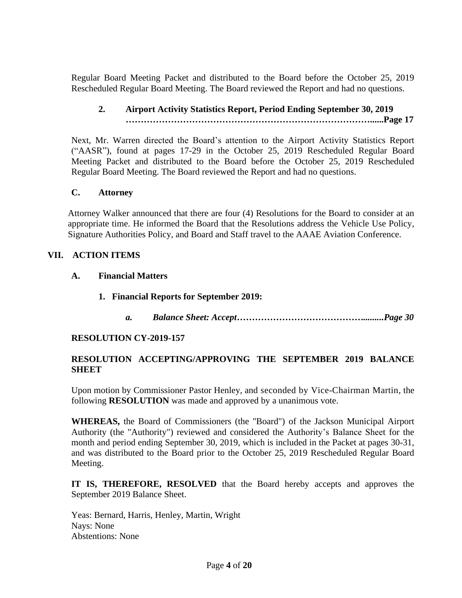Regular Board Meeting Packet and distributed to the Board before the October 25, 2019 Rescheduled Regular Board Meeting. The Board reviewed the Report and had no questions.

# **2. Airport Activity Statistics Report, Period Ending September 30, 2019 ………………………………………………………………………......Page 17**

Next, Mr. Warren directed the Board's attention to the Airport Activity Statistics Report ("AASR"), found at pages 17-29 in the October 25, 2019 Rescheduled Regular Board Meeting Packet and distributed to the Board before the October 25, 2019 Rescheduled Regular Board Meeting. The Board reviewed the Report and had no questions.

#### **C. Attorney**

Attorney Walker announced that there are four (4) Resolutions for the Board to consider at an appropriate time. He informed the Board that the Resolutions address the Vehicle Use Policy, Signature Authorities Policy, and Board and Staff travel to the AAAE Aviation Conference.

#### **VII. ACTION ITEMS**

- **A. Financial Matters**
	- **1. Financial Reports for September 2019:**
		- *a. Balance Sheet: Accept…………………………………….........Page 30*

#### **RESOLUTION CY-2019-157**

#### **RESOLUTION ACCEPTING/APPROVING THE SEPTEMBER 2019 BALANCE SHEET**

Upon motion by Commissioner Pastor Henley, and seconded by Vice-Chairman Martin, the following **RESOLUTION** was made and approved by a unanimous vote.

**WHEREAS,** the Board of Commissioners (the "Board") of the Jackson Municipal Airport Authority (the "Authority") reviewed and considered the Authority's Balance Sheet for the month and period ending September 30, 2019, which is included in the Packet at pages 30-31, and was distributed to the Board prior to the October 25, 2019 Rescheduled Regular Board Meeting.

**IT IS, THEREFORE, RESOLVED** that the Board hereby accepts and approves the September 2019 Balance Sheet.

Yeas: Bernard, Harris, Henley, Martin, Wright Nays: None Abstentions: None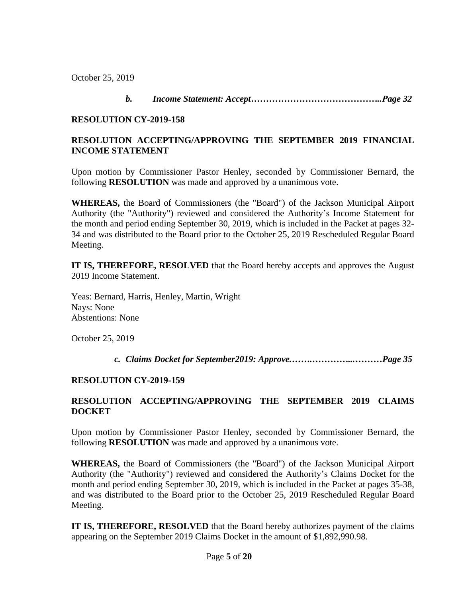October 25, 2019

*b. Income Statement: Accept……………………………………..Page 32*

#### **RESOLUTION CY-2019-158**

## **RESOLUTION ACCEPTING/APPROVING THE SEPTEMBER 2019 FINANCIAL INCOME STATEMENT**

Upon motion by Commissioner Pastor Henley, seconded by Commissioner Bernard, the following **RESOLUTION** was made and approved by a unanimous vote.

**WHEREAS,** the Board of Commissioners (the "Board") of the Jackson Municipal Airport Authority (the "Authority") reviewed and considered the Authority's Income Statement for the month and period ending September 30, 2019, which is included in the Packet at pages 32- 34 and was distributed to the Board prior to the October 25, 2019 Rescheduled Regular Board Meeting.

**IT IS, THEREFORE, RESOLVED** that the Board hereby accepts and approves the August 2019 Income Statement.

Yeas: Bernard, Harris, Henley, Martin, Wright Nays: None Abstentions: None

October 25, 2019

 *c. Claims Docket for September2019: Approve.…….…………...………Page 35*

### **RESOLUTION CY-2019-159**

# **RESOLUTION ACCEPTING/APPROVING THE SEPTEMBER 2019 CLAIMS DOCKET**

Upon motion by Commissioner Pastor Henley, seconded by Commissioner Bernard, the following **RESOLUTION** was made and approved by a unanimous vote.

**WHEREAS,** the Board of Commissioners (the "Board") of the Jackson Municipal Airport Authority (the "Authority") reviewed and considered the Authority's Claims Docket for the month and period ending September 30, 2019, which is included in the Packet at pages 35-38, and was distributed to the Board prior to the October 25, 2019 Rescheduled Regular Board Meeting.

**IT IS, THEREFORE, RESOLVED** that the Board hereby authorizes payment of the claims appearing on the September 2019 Claims Docket in the amount of \$1,892,990.98.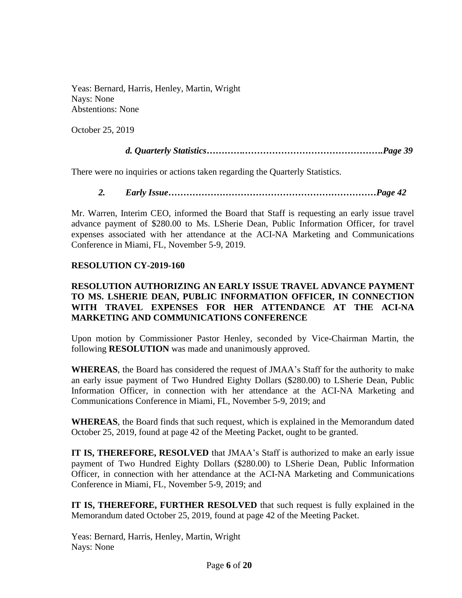Yeas: Bernard, Harris, Henley, Martin, Wright Nays: None Abstentions: None

October 25, 2019

### *d. Quarterly Statistics………….……………………………………….Page 39*

There were no inquiries or actions taken regarding the Quarterly Statistics.

*2. Early Issue……………………………………………………………Page 42*

Mr. Warren, Interim CEO, informed the Board that Staff is requesting an early issue travel advance payment of \$280.00 to Ms. LSherie Dean, Public Information Officer, for travel expenses associated with her attendance at the ACI-NA Marketing and Communications Conference in Miami, FL, November 5-9, 2019.

#### **RESOLUTION CY-2019-160**

### **RESOLUTION AUTHORIZING AN EARLY ISSUE TRAVEL ADVANCE PAYMENT TO MS. LSHERIE DEAN, PUBLIC INFORMATION OFFICER, IN CONNECTION WITH TRAVEL EXPENSES FOR HER ATTENDANCE AT THE ACI-NA MARKETING AND COMMUNICATIONS CONFERENCE**

Upon motion by Commissioner Pastor Henley, seconded by Vice-Chairman Martin, the following **RESOLUTION** was made and unanimously approved.

**WHEREAS**, the Board has considered the request of JMAA's Staff for the authority to make an early issue payment of Two Hundred Eighty Dollars (\$280.00) to LSherie Dean, Public Information Officer, in connection with her attendance at the ACI-NA Marketing and Communications Conference in Miami, FL, November 5-9, 2019; and

**WHEREAS**, the Board finds that such request, which is explained in the Memorandum dated October 25, 2019, found at page 42 of the Meeting Packet, ought to be granted.

**IT IS, THEREFORE, RESOLVED** that JMAA's Staff is authorized to make an early issue payment of Two Hundred Eighty Dollars (\$280.00) to LSherie Dean, Public Information Officer, in connection with her attendance at the ACI-NA Marketing and Communications Conference in Miami, FL, November 5-9, 2019; and

**IT IS, THEREFORE, FURTHER RESOLVED** that such request is fully explained in the Memorandum dated October 25, 2019, found at page 42 of the Meeting Packet.

Yeas: Bernard, Harris, Henley, Martin, Wright Nays: None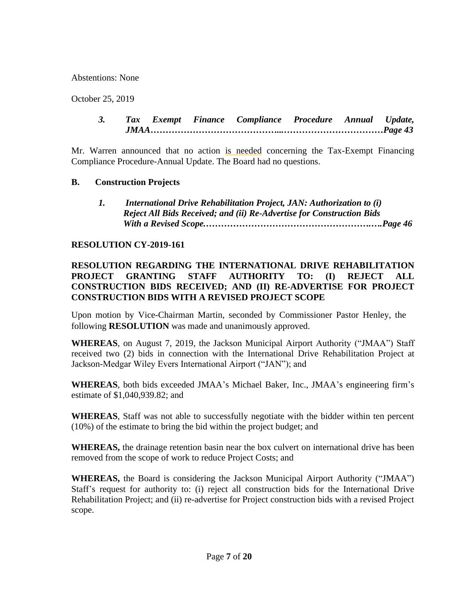Abstentions: None

October 25, 2019

*3. Tax Exempt Finance Compliance Procedure Annual Update, JMAA……………………………………...……………………………Page 43*

Mr. Warren announced that no action is needed concerning the Tax-Exempt Financing Compliance Procedure-Annual Update. The Board had no questions.

#### **B. Construction Projects**

*1. International Drive Rehabilitation Project, JAN: Authorization to (i) Reject All Bids Received; and (ii) Re-Advertise for Construction Bids With a Revised Scope.……………………………………………….….Page 46*

#### **RESOLUTION CY-2019-161**

### **RESOLUTION REGARDING THE INTERNATIONAL DRIVE REHABILITATION PROJECT GRANTING STAFF AUTHORITY TO: (I) REJECT ALL CONSTRUCTION BIDS RECEIVED; AND (II) RE-ADVERTISE FOR PROJECT CONSTRUCTION BIDS WITH A REVISED PROJECT SCOPE**

Upon motion by Vice-Chairman Martin, seconded by Commissioner Pastor Henley, the following **RESOLUTION** was made and unanimously approved.

**WHEREAS**, on August 7, 2019, the Jackson Municipal Airport Authority ("JMAA") Staff received two (2) bids in connection with the International Drive Rehabilitation Project at Jackson-Medgar Wiley Evers International Airport ("JAN"); and

**WHEREAS**, both bids exceeded JMAA's Michael Baker, Inc., JMAA's engineering firm's estimate of \$1,040,939.82; and

**WHEREAS**, Staff was not able to successfully negotiate with the bidder within ten percent (10%) of the estimate to bring the bid within the project budget; and

**WHEREAS,** the drainage retention basin near the box culvert on international drive has been removed from the scope of work to reduce Project Costs; and

**WHEREAS,** the Board is considering the Jackson Municipal Airport Authority ("JMAA") Staff's request for authority to: (i) reject all construction bids for the International Drive Rehabilitation Project; and (ii) re-advertise for Project construction bids with a revised Project scope.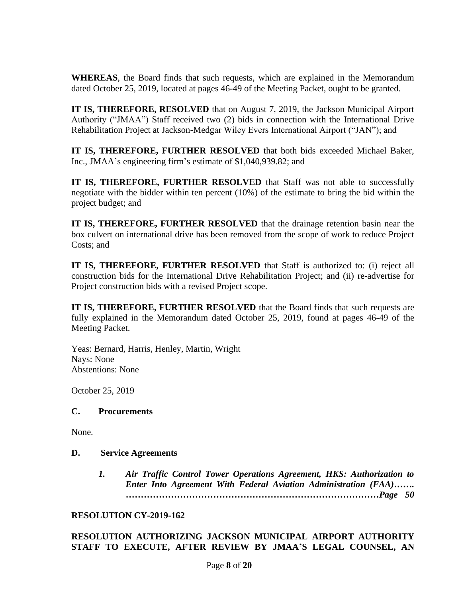**WHEREAS**, the Board finds that such requests, which are explained in the Memorandum dated October 25, 2019, located at pages 46-49 of the Meeting Packet, ought to be granted.

**IT IS, THEREFORE, RESOLVED** that on August 7, 2019, the Jackson Municipal Airport Authority ("JMAA") Staff received two (2) bids in connection with the International Drive Rehabilitation Project at Jackson-Medgar Wiley Evers International Airport ("JAN"); and

**IT IS, THEREFORE, FURTHER RESOLVED** that both bids exceeded Michael Baker, Inc., JMAA's engineering firm's estimate of \$1,040,939.82; and

**IT IS, THEREFORE, FURTHER RESOLVED** that Staff was not able to successfully negotiate with the bidder within ten percent (10%) of the estimate to bring the bid within the project budget; and

**IT IS, THEREFORE, FURTHER RESOLVED** that the drainage retention basin near the box culvert on international drive has been removed from the scope of work to reduce Project Costs; and

**IT IS, THEREFORE, FURTHER RESOLVED** that Staff is authorized to: (i) reject all construction bids for the International Drive Rehabilitation Project; and (ii) re-advertise for Project construction bids with a revised Project scope.

**IT IS, THEREFORE, FURTHER RESOLVED** that the Board finds that such requests are fully explained in the Memorandum dated October 25, 2019, found at pages 46-49 of the Meeting Packet.

Yeas: Bernard, Harris, Henley, Martin, Wright Nays: None Abstentions: None

October 25, 2019

#### **C. Procurements**

None.

#### **D. Service Agreements**

*1. Air Traffic Control Tower Operations Agreement, HKS: Authorization to Enter Into Agreement With Federal Aviation Administration (FAA)……. …………………………………………………………………………Page 50*

#### **RESOLUTION CY-2019-162**

#### **RESOLUTION AUTHORIZING JACKSON MUNICIPAL AIRPORT AUTHORITY STAFF TO EXECUTE, AFTER REVIEW BY JMAA'S LEGAL COUNSEL, AN**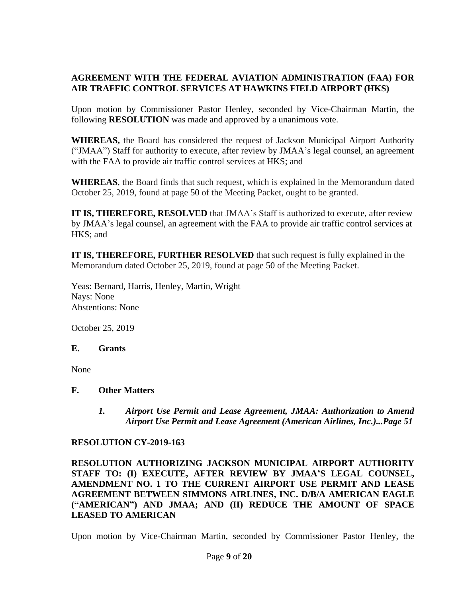# **AGREEMENT WITH THE FEDERAL AVIATION ADMINISTRATION (FAA) FOR AIR TRAFFIC CONTROL SERVICES AT HAWKINS FIELD AIRPORT (HKS)**

Upon motion by Commissioner Pastor Henley, seconded by Vice-Chairman Martin, the following **RESOLUTION** was made and approved by a unanimous vote.

**WHEREAS,** the Board has considered the request of Jackson Municipal Airport Authority ("JMAA") Staff for authority to execute, after review by JMAA's legal counsel, an agreement with the FAA to provide air traffic control services at HKS; and

**WHEREAS**, the Board finds that such request, which is explained in the Memorandum dated October 25, 2019, found at page 50 of the Meeting Packet, ought to be granted.

**IT IS, THEREFORE, RESOLVED** that JMAA's Staff is authorized to execute, after review by JMAA's legal counsel, an agreement with the FAA to provide air traffic control services at HKS; and

**IT IS, THEREFORE, FURTHER RESOLVED** that such request is fully explained in the Memorandum dated October 25, 2019, found at page 50 of the Meeting Packet.

Yeas: Bernard, Harris, Henley, Martin, Wright Nays: None Abstentions: None

October 25, 2019

#### **E. Grants**

None

### **F. Other Matters**

*1. Airport Use Permit and Lease Agreement, JMAA: Authorization to Amend Airport Use Permit and Lease Agreement (American Airlines, Inc.)...Page 51*

### **RESOLUTION CY-2019-163**

**RESOLUTION AUTHORIZING JACKSON MUNICIPAL AIRPORT AUTHORITY STAFF TO: (I) EXECUTE, AFTER REVIEW BY JMAA'S LEGAL COUNSEL, AMENDMENT NO. 1 TO THE CURRENT AIRPORT USE PERMIT AND LEASE AGREEMENT BETWEEN SIMMONS AIRLINES, INC. D/B/A AMERICAN EAGLE ("AMERICAN") AND JMAA; AND (II) REDUCE THE AMOUNT OF SPACE LEASED TO AMERICAN**

Upon motion by Vice-Chairman Martin, seconded by Commissioner Pastor Henley, the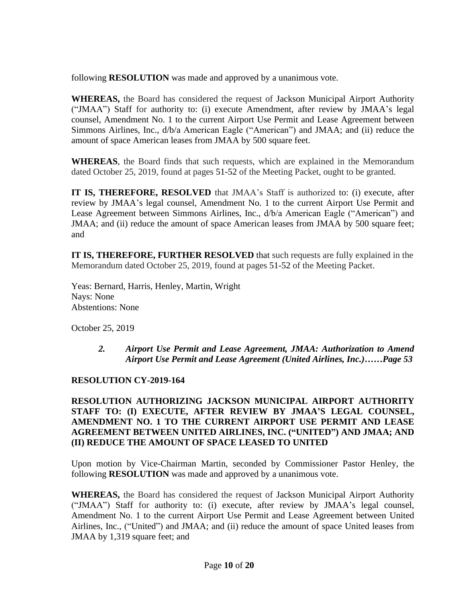following **RESOLUTION** was made and approved by a unanimous vote.

**WHEREAS,** the Board has considered the request of Jackson Municipal Airport Authority ("JMAA") Staff for authority to: (i) execute Amendment, after review by JMAA's legal counsel, Amendment No. 1 to the current Airport Use Permit and Lease Agreement between Simmons Airlines, Inc., d/b/a American Eagle ("American") and JMAA; and (ii) reduce the amount of space American leases from JMAA by 500 square feet.

**WHEREAS**, the Board finds that such requests, which are explained in the Memorandum dated October 25, 2019, found at pages 51-52 of the Meeting Packet, ought to be granted.

**IT IS, THEREFORE, RESOLVED** that JMAA's Staff is authorized to: (i) execute, after review by JMAA's legal counsel, Amendment No. 1 to the current Airport Use Permit and Lease Agreement between Simmons Airlines, Inc., d/b/a American Eagle ("American") and JMAA; and (ii) reduce the amount of space American leases from JMAA by 500 square feet; and

**IT IS, THEREFORE, FURTHER RESOLVED** that such requests are fully explained in the Memorandum dated October 25, 2019, found at pages 51-52 of the Meeting Packet.

Yeas: Bernard, Harris, Henley, Martin, Wright Nays: None Abstentions: None

October 25, 2019

### *2. Airport Use Permit and Lease Agreement, JMAA: Authorization to Amend Airport Use Permit and Lease Agreement (United Airlines, Inc.)……Page 53*

### **RESOLUTION CY-2019-164**

**RESOLUTION AUTHORIZING JACKSON MUNICIPAL AIRPORT AUTHORITY STAFF TO: (I) EXECUTE, AFTER REVIEW BY JMAA'S LEGAL COUNSEL, AMENDMENT NO. 1 TO THE CURRENT AIRPORT USE PERMIT AND LEASE AGREEMENT BETWEEN UNITED AIRLINES, INC. ("UNITED") AND JMAA; AND (II) REDUCE THE AMOUNT OF SPACE LEASED TO UNITED**

Upon motion by Vice-Chairman Martin, seconded by Commissioner Pastor Henley, the following **RESOLUTION** was made and approved by a unanimous vote.

**WHEREAS,** the Board has considered the request of Jackson Municipal Airport Authority ("JMAA") Staff for authority to: (i) execute, after review by JMAA's legal counsel, Amendment No. 1 to the current Airport Use Permit and Lease Agreement between United Airlines, Inc., ("United") and JMAA; and (ii) reduce the amount of space United leases from JMAA by 1,319 square feet; and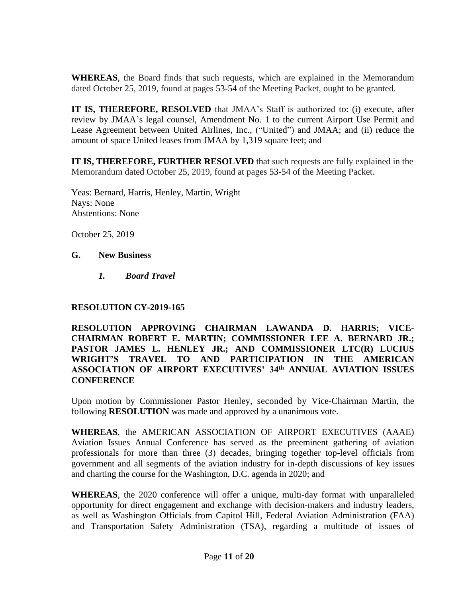**WHEREAS**, the Board finds that such requests, which are explained in the Memorandum dated October 25, 2019, found at pages 53-54 of the Meeting Packet, ought to be granted.

**IT IS, THEREFORE, RESOLVED** that JMAA's Staff is authorized to: (i) execute, after review by JMAA's legal counsel, Amendment No. 1 to the current Airport Use Permit and Lease Agreement between United Airlines, Inc., ("United") and JMAA; and (ii) reduce the amount of space United leases from JMAA by 1,319 square feet; and

**IT IS, THEREFORE, FURTHER RESOLVED** that such requests are fully explained in the Memorandum dated October 25, 2019, found at pages 53-54 of the Meeting Packet.

Yeas: Bernard, Harris, Henley, Martin, Wright Nays: None Abstentions: None

October 25, 2019

#### **G. New Business**

*1. Board Travel*

### **RESOLUTION CY-2019-165**

**RESOLUTION APPROVING CHAIRMAN LAWANDA D. HARRIS; VICE-CHAIRMAN ROBERT E. MARTIN; COMMISSIONER LEE A. BERNARD JR.; PASTOR JAMES L. HENLEY JR.; AND COMMISSIONER LTC(R) LUCIUS WRIGHT'S TRAVEL TO AND PARTICIPATION IN THE AMERICAN ASSOCIATION OF AIRPORT EXECUTIVES' 34 th ANNUAL AVIATION ISSUES CONFERENCE**

Upon motion by Commissioner Pastor Henley, seconded by Vice-Chairman Martin, the following **RESOLUTION** was made and approved by a unanimous vote.

**WHEREAS**, the AMERICAN ASSOCIATION OF AIRPORT EXECUTIVES (AAAE) Aviation Issues Annual Conference has served as the preeminent gathering of aviation professionals for more than three (3) decades, bringing together top-level officials from government and all segments of the aviation industry for in-depth discussions of key issues and charting the course for the Washington, D.C. agenda in 2020; and

**WHEREAS**, the 2020 conference will offer a unique, multi-day format with unparalleled opportunity for direct engagement and exchange with decision-makers and industry leaders, as well as Washington Officials from Capitol Hill, Federal Aviation Administration (FAA) and Transportation Safety Administration (TSA), regarding a multitude of issues of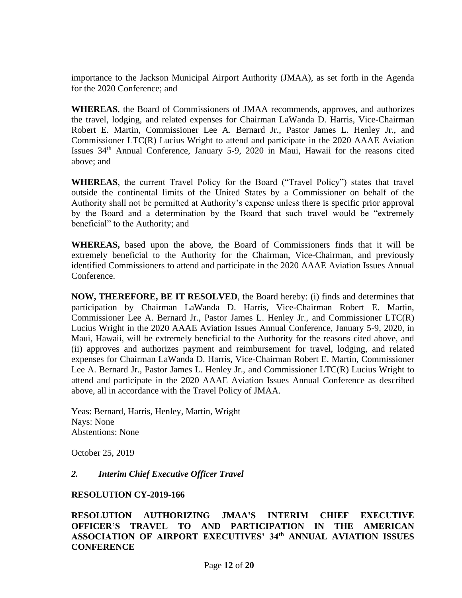importance to the Jackson Municipal Airport Authority (JMAA), as set forth in the Agenda for the 2020 Conference; and

**WHEREAS**, the Board of Commissioners of JMAA recommends, approves, and authorizes the travel, lodging, and related expenses for Chairman LaWanda D. Harris, Vice-Chairman Robert E. Martin, Commissioner Lee A. Bernard Jr., Pastor James L. Henley Jr., and Commissioner LTC(R) Lucius Wright to attend and participate in the 2020 AAAE Aviation Issues 34<sup>th</sup> Annual Conference, January 5-9, 2020 in Maui, Hawaii for the reasons cited above; and

**WHEREAS**, the current Travel Policy for the Board ("Travel Policy") states that travel outside the continental limits of the United States by a Commissioner on behalf of the Authority shall not be permitted at Authority's expense unless there is specific prior approval by the Board and a determination by the Board that such travel would be "extremely beneficial" to the Authority; and

**WHEREAS,** based upon the above, the Board of Commissioners finds that it will be extremely beneficial to the Authority for the Chairman, Vice-Chairman, and previously identified Commissioners to attend and participate in the 2020 AAAE Aviation Issues Annual Conference.

**NOW, THEREFORE, BE IT RESOLVED**, the Board hereby: (i) finds and determines that participation by Chairman LaWanda D. Harris, Vice-Chairman Robert E. Martin, Commissioner Lee A. Bernard Jr., Pastor James L. Henley Jr., and Commissioner LTC(R) Lucius Wright in the 2020 AAAE Aviation Issues Annual Conference, January 5-9, 2020, in Maui, Hawaii, will be extremely beneficial to the Authority for the reasons cited above, and (ii) approves and authorizes payment and reimbursement for travel, lodging, and related expenses for Chairman LaWanda D. Harris, Vice-Chairman Robert E. Martin, Commissioner Lee A. Bernard Jr., Pastor James L. Henley Jr., and Commissioner LTC(R) Lucius Wright to attend and participate in the 2020 AAAE Aviation Issues Annual Conference as described above, all in accordance with the Travel Policy of JMAA.

Yeas: Bernard, Harris, Henley, Martin, Wright Nays: None Abstentions: None

October 25, 2019

### *2. Interim Chief Executive Officer Travel*

#### **RESOLUTION CY-2019-166**

**RESOLUTION AUTHORIZING JMAA'S INTERIM CHIEF EXECUTIVE OFFICER'S TRAVEL TO AND PARTICIPATION IN THE AMERICAN ASSOCIATION OF AIRPORT EXECUTIVES' 34th ANNUAL AVIATION ISSUES CONFERENCE**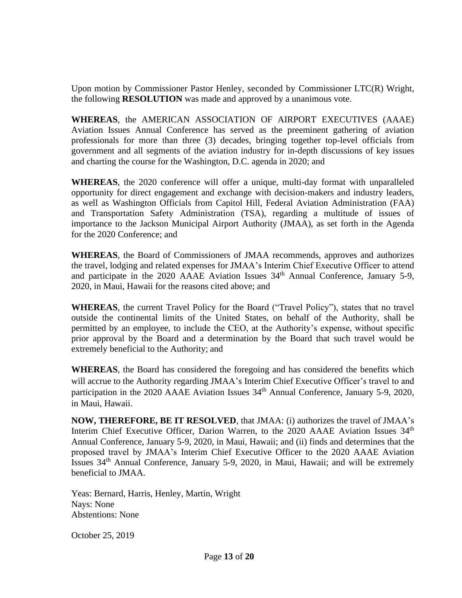Upon motion by Commissioner Pastor Henley, seconded by Commissioner LTC(R) Wright, the following **RESOLUTION** was made and approved by a unanimous vote.

**WHEREAS**, the AMERICAN ASSOCIATION OF AIRPORT EXECUTIVES (AAAE) Aviation Issues Annual Conference has served as the preeminent gathering of aviation professionals for more than three (3) decades, bringing together top-level officials from government and all segments of the aviation industry for in-depth discussions of key issues and charting the course for the Washington, D.C. agenda in 2020; and

**WHEREAS**, the 2020 conference will offer a unique, multi-day format with unparalleled opportunity for direct engagement and exchange with decision-makers and industry leaders, as well as Washington Officials from Capitol Hill, Federal Aviation Administration (FAA) and Transportation Safety Administration (TSA), regarding a multitude of issues of importance to the Jackson Municipal Airport Authority (JMAA), as set forth in the Agenda for the 2020 Conference; and

**WHEREAS**, the Board of Commissioners of JMAA recommends, approves and authorizes the travel, lodging and related expenses for JMAA's Interim Chief Executive Officer to attend and participate in the 2020 AAAE Aviation Issues 34<sup>th</sup> Annual Conference, January 5-9, 2020, in Maui, Hawaii for the reasons cited above; and

**WHEREAS**, the current Travel Policy for the Board ("Travel Policy"), states that no travel outside the continental limits of the United States, on behalf of the Authority, shall be permitted by an employee, to include the CEO, at the Authority's expense, without specific prior approval by the Board and a determination by the Board that such travel would be extremely beneficial to the Authority; and

**WHEREAS**, the Board has considered the foregoing and has considered the benefits which will accrue to the Authority regarding JMAA's Interim Chief Executive Officer's travel to and participation in the 2020 AAAE Aviation Issues 34<sup>th</sup> Annual Conference, January 5-9, 2020, in Maui, Hawaii.

**NOW, THEREFORE, BE IT RESOLVED**, that JMAA: (i) authorizes the travel of JMAA's Interim Chief Executive Officer, Darion Warren, to the 2020 AAAE Aviation Issues  $34<sup>th</sup>$ Annual Conference, January 5-9, 2020, in Maui, Hawaii; and (ii) finds and determines that the proposed travel by JMAA's Interim Chief Executive Officer to the 2020 AAAE Aviation Issues 34th Annual Conference, January 5-9, 2020, in Maui, Hawaii; and will be extremely beneficial to JMAA.

Yeas: Bernard, Harris, Henley, Martin, Wright Nays: None Abstentions: None

October 25, 2019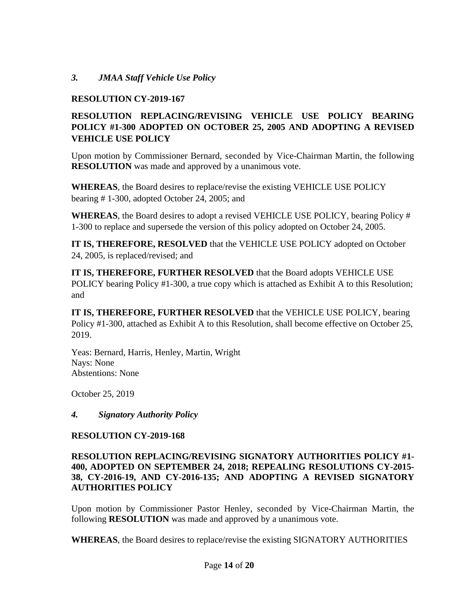# *3. JMAA Staff Vehicle Use Policy*

### **RESOLUTION CY-2019-167**

# **RESOLUTION REPLACING/REVISING VEHICLE USE POLICY BEARING POLICY #1-300 ADOPTED ON OCTOBER 25, 2005 AND ADOPTING A REVISED VEHICLE USE POLICY**

Upon motion by Commissioner Bernard, seconded by Vice-Chairman Martin, the following **RESOLUTION** was made and approved by a unanimous vote.

**WHEREAS**, the Board desires to replace/revise the existing VEHICLE USE POLICY bearing # 1-300, adopted October 24, 2005; and

**WHEREAS**, the Board desires to adopt a revised VEHICLE USE POLICY, bearing Policy # 1-300 to replace and supersede the version of this policy adopted on October 24, 2005.

**IT IS, THEREFORE, RESOLVED** that the VEHICLE USE POLICY adopted on October 24, 2005, is replaced/revised; and

**IT IS, THEREFORE, FURTHER RESOLVED** that the Board adopts VEHICLE USE POLICY bearing Policy #1-300, a true copy which is attached as Exhibit A to this Resolution; and

**IT IS, THEREFORE, FURTHER RESOLVED** that the VEHICLE USE POLICY, bearing Policy #1-300, attached as Exhibit A to this Resolution, shall become effective on October 25, 2019.

Yeas: Bernard, Harris, Henley, Martin, Wright Nays: None Abstentions: None

October 25, 2019

*4. Signatory Authority Policy*

### **RESOLUTION CY-2019-168**

### **RESOLUTION REPLACING/REVISING SIGNATORY AUTHORITIES POLICY #1- 400, ADOPTED ON SEPTEMBER 24, 2018; REPEALING RESOLUTIONS CY-2015- 38, CY-2016-19, AND CY-2016-135; AND ADOPTING A REVISED SIGNATORY AUTHORITIES POLICY**

Upon motion by Commissioner Pastor Henley, seconded by Vice-Chairman Martin, the following **RESOLUTION** was made and approved by a unanimous vote.

**WHEREAS**, the Board desires to replace/revise the existing SIGNATORY AUTHORITIES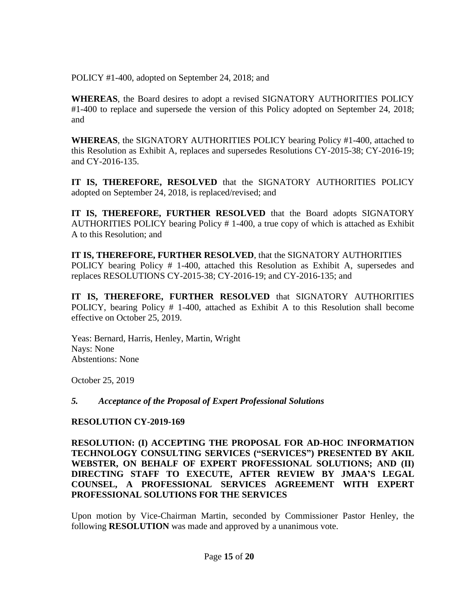POLICY #1-400, adopted on September 24, 2018; and

**WHEREAS**, the Board desires to adopt a revised SIGNATORY AUTHORITIES POLICY #1-400 to replace and supersede the version of this Policy adopted on September 24, 2018; and

**WHEREAS**, the SIGNATORY AUTHORITIES POLICY bearing Policy #1-400, attached to this Resolution as Exhibit A, replaces and supersedes Resolutions CY-2015-38; CY-2016-19; and CY-2016-135.

**IT IS, THEREFORE, RESOLVED** that the SIGNATORY AUTHORITIES POLICY adopted on September 24, 2018, is replaced/revised; and

**IT IS, THEREFORE, FURTHER RESOLVED** that the Board adopts SIGNATORY AUTHORITIES POLICY bearing Policy # 1-400, a true copy of which is attached as Exhibit A to this Resolution; and

**IT IS, THEREFORE, FURTHER RESOLVED**, that the SIGNATORY AUTHORITIES POLICY bearing Policy # 1-400, attached this Resolution as Exhibit A, supersedes and replaces RESOLUTIONS CY-2015-38; CY-2016-19; and CY-2016-135; and

**IT IS, THEREFORE, FURTHER RESOLVED** that SIGNATORY AUTHORITIES POLICY, bearing Policy # 1-400, attached as Exhibit A to this Resolution shall become effective on October 25, 2019.

Yeas: Bernard, Harris, Henley, Martin, Wright Nays: None Abstentions: None

October 25, 2019

### *5. Acceptance of the Proposal of Expert Professional Solutions*

### **RESOLUTION CY-2019-169**

**RESOLUTION: (I) ACCEPTING THE PROPOSAL FOR AD-HOC INFORMATION TECHNOLOGY CONSULTING SERVICES ("SERVICES") PRESENTED BY AKIL WEBSTER, ON BEHALF OF EXPERT PROFESSIONAL SOLUTIONS; AND (II) DIRECTING STAFF TO EXECUTE, AFTER REVIEW BY JMAA'S LEGAL COUNSEL, A PROFESSIONAL SERVICES AGREEMENT WITH EXPERT PROFESSIONAL SOLUTIONS FOR THE SERVICES**

Upon motion by Vice-Chairman Martin, seconded by Commissioner Pastor Henley, the following **RESOLUTION** was made and approved by a unanimous vote.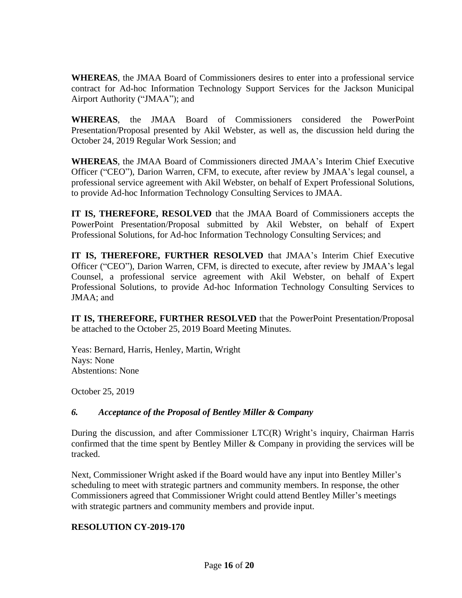**WHEREAS**, the JMAA Board of Commissioners desires to enter into a professional service contract for Ad-hoc Information Technology Support Services for the Jackson Municipal Airport Authority ("JMAA"); and

**WHEREAS**, the JMAA Board of Commissioners considered the PowerPoint Presentation/Proposal presented by Akil Webster, as well as, the discussion held during the October 24, 2019 Regular Work Session; and

**WHEREAS**, the JMAA Board of Commissioners directed JMAA's Interim Chief Executive Officer ("CEO"), Darion Warren, CFM, to execute, after review by JMAA's legal counsel, a professional service agreement with Akil Webster, on behalf of Expert Professional Solutions, to provide Ad-hoc Information Technology Consulting Services to JMAA.

**IT IS, THEREFORE, RESOLVED** that the JMAA Board of Commissioners accepts the PowerPoint Presentation/Proposal submitted by Akil Webster, on behalf of Expert Professional Solutions, for Ad-hoc Information Technology Consulting Services; and

**IT IS, THEREFORE, FURTHER RESOLVED** that JMAA's Interim Chief Executive Officer ("CEO"), Darion Warren, CFM, is directed to execute, after review by JMAA's legal Counsel, a professional service agreement with Akil Webster, on behalf of Expert Professional Solutions, to provide Ad-hoc Information Technology Consulting Services to JMAA; and

**IT IS, THEREFORE, FURTHER RESOLVED** that the PowerPoint Presentation/Proposal be attached to the October 25, 2019 Board Meeting Minutes.

Yeas: Bernard, Harris, Henley, Martin, Wright Nays: None Abstentions: None

October 25, 2019

### *6. Acceptance of the Proposal of Bentley Miller & Company*

During the discussion, and after Commissioner LTC(R) Wright's inquiry, Chairman Harris confirmed that the time spent by Bentley Miller & Company in providing the services will be tracked.

Next, Commissioner Wright asked if the Board would have any input into Bentley Miller's scheduling to meet with strategic partners and community members. In response, the other Commissioners agreed that Commissioner Wright could attend Bentley Miller's meetings with strategic partners and community members and provide input.

### **RESOLUTION CY-2019-170**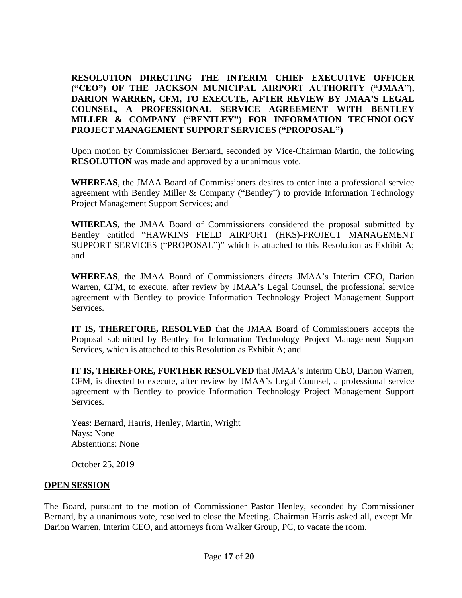**RESOLUTION DIRECTING THE INTERIM CHIEF EXECUTIVE OFFICER ("CEO") OF THE JACKSON MUNICIPAL AIRPORT AUTHORITY ("JMAA"), DARION WARREN, CFM, TO EXECUTE, AFTER REVIEW BY JMAA'S LEGAL COUNSEL, A PROFESSIONAL SERVICE AGREEMENT WITH BENTLEY MILLER & COMPANY ("BENTLEY") FOR INFORMATION TECHNOLOGY PROJECT MANAGEMENT SUPPORT SERVICES ("PROPOSAL")**

Upon motion by Commissioner Bernard, seconded by Vice-Chairman Martin, the following **RESOLUTION** was made and approved by a unanimous vote.

**WHEREAS**, the JMAA Board of Commissioners desires to enter into a professional service agreement with Bentley Miller & Company ("Bentley") to provide Information Technology Project Management Support Services; and

**WHEREAS**, the JMAA Board of Commissioners considered the proposal submitted by Bentley entitled "HAWKINS FIELD AIRPORT (HKS)-PROJECT MANAGEMENT SUPPORT SERVICES ("PROPOSAL")" which is attached to this Resolution as Exhibit A; and

**WHEREAS**, the JMAA Board of Commissioners directs JMAA's Interim CEO, Darion Warren, CFM, to execute, after review by JMAA's Legal Counsel, the professional service agreement with Bentley to provide Information Technology Project Management Support Services.

**IT IS, THEREFORE, RESOLVED** that the JMAA Board of Commissioners accepts the Proposal submitted by Bentley for Information Technology Project Management Support Services, which is attached to this Resolution as Exhibit A; and

**IT IS, THEREFORE, FURTHER RESOLVED** that JMAA's Interim CEO, Darion Warren, CFM, is directed to execute, after review by JMAA's Legal Counsel, a professional service agreement with Bentley to provide Information Technology Project Management Support Services.

Yeas: Bernard, Harris, Henley, Martin, Wright Nays: None Abstentions: None

October 25, 2019

#### **OPEN SESSION**

The Board, pursuant to the motion of Commissioner Pastor Henley, seconded by Commissioner Bernard, by a unanimous vote, resolved to close the Meeting. Chairman Harris asked all, except Mr. Darion Warren, Interim CEO, and attorneys from Walker Group, PC, to vacate the room.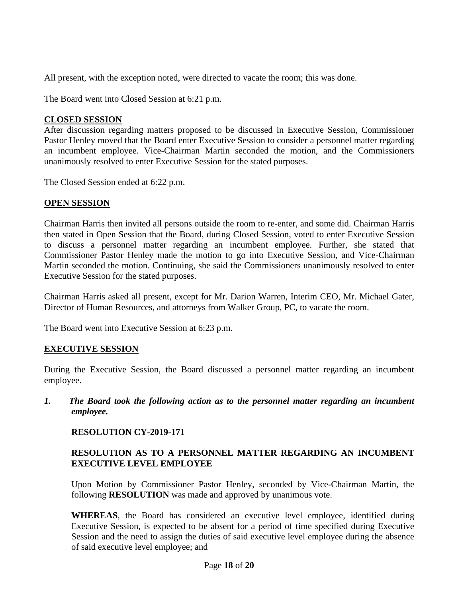All present, with the exception noted, were directed to vacate the room; this was done.

The Board went into Closed Session at 6:21 p.m.

#### **CLOSED SESSION**

After discussion regarding matters proposed to be discussed in Executive Session, Commissioner Pastor Henley moved that the Board enter Executive Session to consider a personnel matter regarding an incumbent employee. Vice-Chairman Martin seconded the motion, and the Commissioners unanimously resolved to enter Executive Session for the stated purposes.

The Closed Session ended at 6:22 p.m.

### **OPEN SESSION**

Chairman Harris then invited all persons outside the room to re-enter, and some did. Chairman Harris then stated in Open Session that the Board, during Closed Session, voted to enter Executive Session to discuss a personnel matter regarding an incumbent employee. Further, she stated that Commissioner Pastor Henley made the motion to go into Executive Session, and Vice-Chairman Martin seconded the motion. Continuing, she said the Commissioners unanimously resolved to enter Executive Session for the stated purposes.

Chairman Harris asked all present, except for Mr. Darion Warren, Interim CEO, Mr. Michael Gater, Director of Human Resources, and attorneys from Walker Group, PC, to vacate the room.

The Board went into Executive Session at 6:23 p.m.

### **EXECUTIVE SESSION**

During the Executive Session, the Board discussed a personnel matter regarding an incumbent employee.

*1. The Board took the following action as to the personnel matter regarding an incumbent employee.*

### **RESOLUTION CY-2019-171**

### **RESOLUTION AS TO A PERSONNEL MATTER REGARDING AN INCUMBENT EXECUTIVE LEVEL EMPLOYEE**

Upon Motion by Commissioner Pastor Henley, seconded by Vice-Chairman Martin, the following **RESOLUTION** was made and approved by unanimous vote.

**WHEREAS**, the Board has considered an executive level employee, identified during Executive Session, is expected to be absent for a period of time specified during Executive Session and the need to assign the duties of said executive level employee during the absence of said executive level employee; and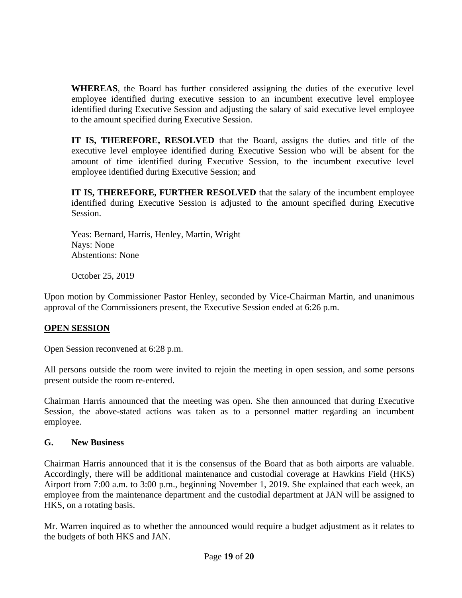**WHEREAS**, the Board has further considered assigning the duties of the executive level employee identified during executive session to an incumbent executive level employee identified during Executive Session and adjusting the salary of said executive level employee to the amount specified during Executive Session.

**IT IS, THEREFORE, RESOLVED** that the Board, assigns the duties and title of the executive level employee identified during Executive Session who will be absent for the amount of time identified during Executive Session, to the incumbent executive level employee identified during Executive Session; and

**IT IS, THEREFORE, FURTHER RESOLVED** that the salary of the incumbent employee identified during Executive Session is adjusted to the amount specified during Executive Session.

Yeas: Bernard, Harris, Henley, Martin, Wright Nays: None Abstentions: None

October 25, 2019

Upon motion by Commissioner Pastor Henley, seconded by Vice-Chairman Martin, and unanimous approval of the Commissioners present, the Executive Session ended at 6:26 p.m.

# **OPEN SESSION**

Open Session reconvened at 6:28 p.m.

All persons outside the room were invited to rejoin the meeting in open session, and some persons present outside the room re-entered.

Chairman Harris announced that the meeting was open. She then announced that during Executive Session, the above-stated actions was taken as to a personnel matter regarding an incumbent employee.

# **G. New Business**

Chairman Harris announced that it is the consensus of the Board that as both airports are valuable. Accordingly, there will be additional maintenance and custodial coverage at Hawkins Field (HKS) Airport from 7:00 a.m. to 3:00 p.m., beginning November 1, 2019. She explained that each week, an employee from the maintenance department and the custodial department at JAN will be assigned to HKS, on a rotating basis.

Mr. Warren inquired as to whether the announced would require a budget adjustment as it relates to the budgets of both HKS and JAN.